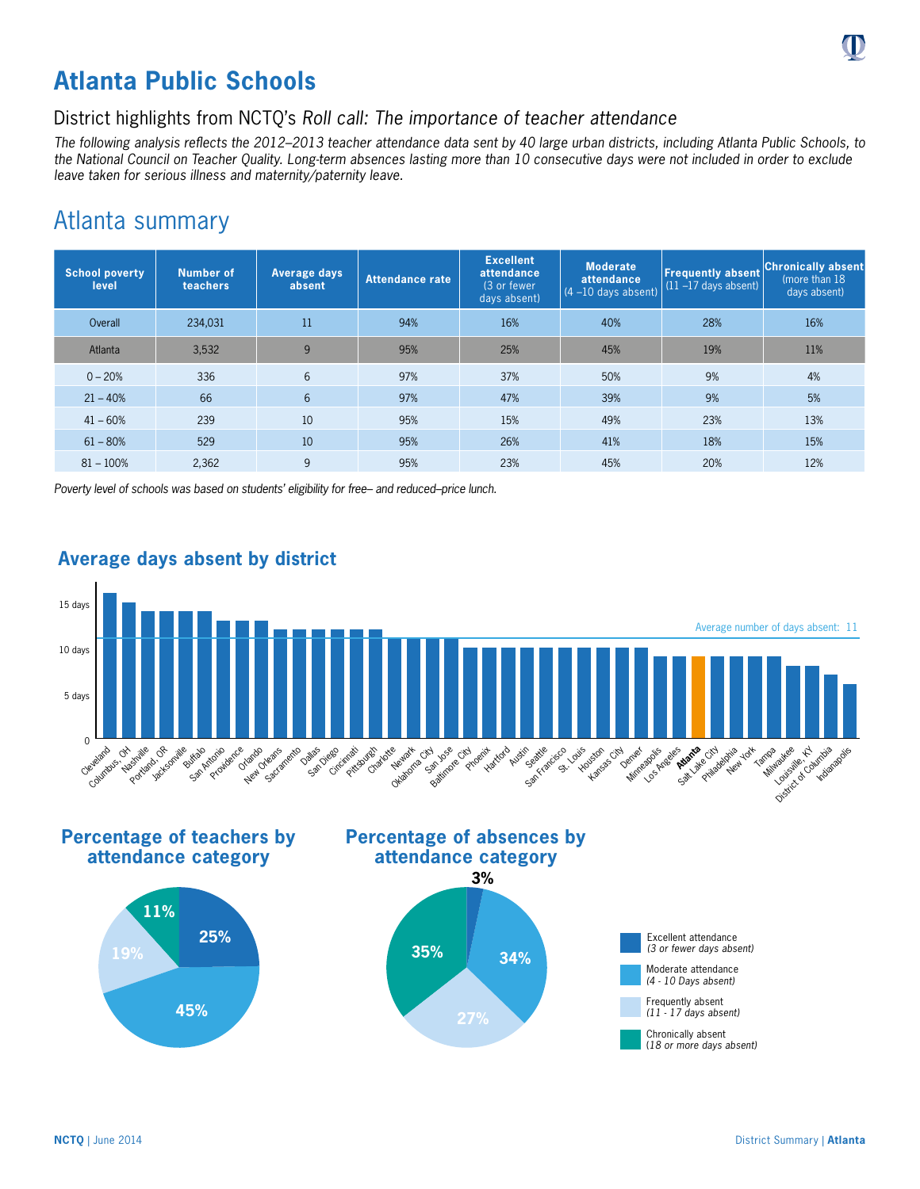

## **Atlanta Public Schools**

District highlights from NCTQ's *Roll call: The importance of teacher attendance* 

*The following analysis reflects the 2012–2013 teacher attendance data sent by 40 large urban districts, including Atlanta Public Schools, to the National Council on Teacher Quality. Long-term absences lasting more than 10 consecutive days were not included in order to exclude leave taken for serious illness and maternity/paternity leave.*

## Atlanta summary

| <b>School poverty</b><br>level | <b>Number of</b><br><b>teachers</b> | Average days<br>absent | Attendance rate | <b>Excellent</b><br>attendance<br>(3 or fewer)<br>days absent) | <b>Moderate</b><br>attendance<br>$(4 - 10$ days absent) | <b>Frequently absent</b><br>$(11 - 17$ days absent) | <b>Chronically absent</b><br>(more than 18)<br>days absent) |
|--------------------------------|-------------------------------------|------------------------|-----------------|----------------------------------------------------------------|---------------------------------------------------------|-----------------------------------------------------|-------------------------------------------------------------|
| Overall                        | 234,031                             | 11                     | 94%             | 16%                                                            | 40%                                                     | 28%                                                 | 16%                                                         |
| Atlanta                        | 3,532                               | 9                      | 95%             | 25%                                                            | 45%                                                     | 19%                                                 | 11%                                                         |
| $0 - 20%$                      | 336                                 | 6                      | 97%             | 37%                                                            | 50%                                                     | 9%                                                  | 4%                                                          |
| $21 - 40%$                     | 66                                  | 6                      | 97%             | 47%                                                            | 39%                                                     | 9%                                                  | 5%                                                          |
| $41 - 60%$                     | 239                                 | 10                     | 95%             | 15%                                                            | 49%                                                     | 23%                                                 | 13%                                                         |
| $61 - 80%$                     | 529                                 | 10                     | 95%             | 26%                                                            | 41%                                                     | 18%                                                 | 15%                                                         |
| $81 - 100%$                    | 2,362                               | 9                      | 95%             | 23%                                                            | 45%                                                     | 20%                                                 | 12%                                                         |

*Poverty level of schools was based on students' eligibility for free– and reduced–price lunch.*



## **Average days absent by district**

**Percentage of teachers by attendance category**









(*18 or more days absent)*